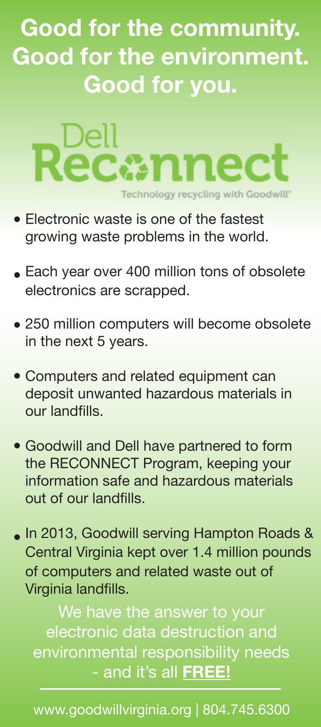## **Good for the community. Good for the environment. Good for you.**



- Electronic waste is one of the fastest growing waste problems in the world.
- $\bullet$  Each year over 400 million tons of obsolete electronics are scrapped.
- 250 million computers will become obsolete in the next 5 years.
- Computers and related equipment can deposit unwanted hazardous materials in our landfills.
- Goodwill and Dell have partnered to form the RECONNECT Program, keeping your information safe and hazardous materials out of our landfills.
- In 2013, Goodwill serving Hampton Roads & Central Virginia kept over 1.4 million pounds of computers and related waste out of Virginia landfills.

We have the answer to your electronic data destruction and environmental responsibility needs - and it's all **FREE!**

www.goodwillvirginia.org | 804.745.6300